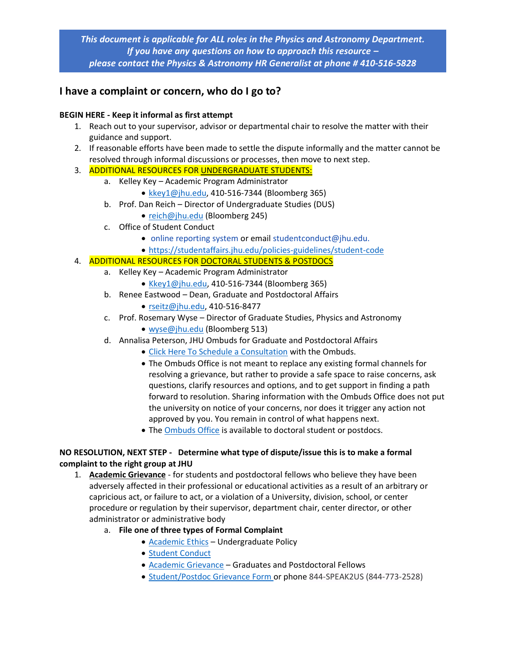*This document is applicable for ALL roles in the Physics and Astronomy Department. If you have any questions on how to approach this resource – please contact the Physics & Astronomy HR Generalist at phone # 410-516-5828*

# **I have a complaint or concern, who do I go to?**

## **BEGIN HERE - Keep it informal as first attempt**

- 1. Reach out to your supervisor, advisor or departmental chair to resolve the matter with their guidance and support.
- 2. If reasonable efforts have been made to settle the dispute informally and the matter cannot be resolved through informal discussions or processes, then move to next step.

## 3. ADDITIONAL RESOURCES FOR UNDERGRADUATE STUDENTS:

- a. Kelley Key Academic Program Administrator
	- [kkey1@jhu.edu,](mailto:kkey1@jhu.edu) 410-516-7344 (Bloomberg 365)
	- b. Prof. Dan Reich Director of Undergraduate Studies (DUS)
		- [reich@jhu.edu](mailto:reich@jhu.edu) (Bloomberg 245)
	- c. Office of Student Conduct
		- [online reporting system](https://jhu-advocate.symplicity.com/public_report/index.php/pid665057?) or email [studentconduct@jhu.edu.](mailto:studentconduct@jhu.edu)
		- <https://studentaffairs.jhu.edu/policies-guidelines/student-code>

## 4. ADDITIONAL RESOURCES FOR DOCTORAL STUDENTS & POSTDOCS

- a. Kelley Key Academic Program Administrator
	- [Kkey1@jhu.edu,](mailto:Kkey1@jhu.edu) 410-516-7344 (Bloomberg 365)
- b. Renee Eastwood Dean, Graduate and Postdoctoral Affairs
	- [rseitz@jhu.edu,](mailto:rseitz@jhu.edu) 410-516-8477
- c. Prof. Rosemary Wyse Director of Graduate Studies, Physics and Astronomy
	- [wyse@jhu.edu](mailto:wyse@jhu.edu) (Bloomberg 513)
- d. Annalisa Peterson, JHU Ombuds for Graduate and Postdoctoral Affairs
	- [Click Here To Schedule a Consultation](https://www.jhu.edu/ombuds-office/schedule-a-consultation/) with the Ombuds.
	- The Ombuds Office is not meant to replace any existing formal channels for resolving a grievance, but rather to provide a safe space to raise concerns, ask questions, clarify resources and options, and to get support in finding a path forward to resolution. Sharing information with the Ombuds Office does not put the university on notice of your concerns, nor does it trigger any action not approved by you. You remain in control of what happens next.
	- The **Ombuds Office** is available to doctoral student or postdocs.

## **NO RESOLUTION, NEXT STEP - Determine what type of dispute/issue this is to make a formal complaint to the right group at JHU**

- 1. **Academic Grievance** for students and postdoctoral fellows who believe they have been adversely affected in their professional or educational activities as a result of an arbitrary or capricious act, or failure to act, or a violation of a University, division, school, or center procedure or regulation by their supervisor, department chair, center director, or other administrator or administrative body
	- a. **File one of three types of Formal Complaint**
		- [Academic Ethics](https://studentaffairs.jhu.edu/policies-guidelines/undergrad-ethics/) Undergraduate Policy
			- [Student Conduct](https://studentaffairs.jhu.edu/policies-guidelines/student-code)
			- [Academic Grievance](https://provost.jhu.edu/education/academic-grievance-policy-students-and-postdoctoral-fellows/) Graduates and Postdoctoral Fellows
			- [Student/Postdoc Grievance Form](https://nam02.safelinks.protection.outlook.com/?url=https%3A%2F%2Fjhu-advocate.symplicity.com%2Fpublic_report%2Findex.php%2Fpid579391%3F&data=04%7C01%7Cjgordo39%40jhu.edu%7C02ac9d61db674c40e3e708d9bbe7b027%7C9fa4f438b1e6473b803f86f8aedf0dec%7C0%7C0%7C637747426026268342%7CUnknown%7CTWFpbGZsb3d8eyJWIjoiMC4wLjAwMDAiLCJQIjoiV2luMzIiLCJBTiI6Ik1haWwiLCJXVCI6Mn0%3D%7C3000&sdata=5mc6Z%2FfXtOZvNXKGd0gmHj941NSidXyyNvloD%2F%2FXvZU%3D&reserved=0) or phone 844-SPEAK2US (844-773-2528)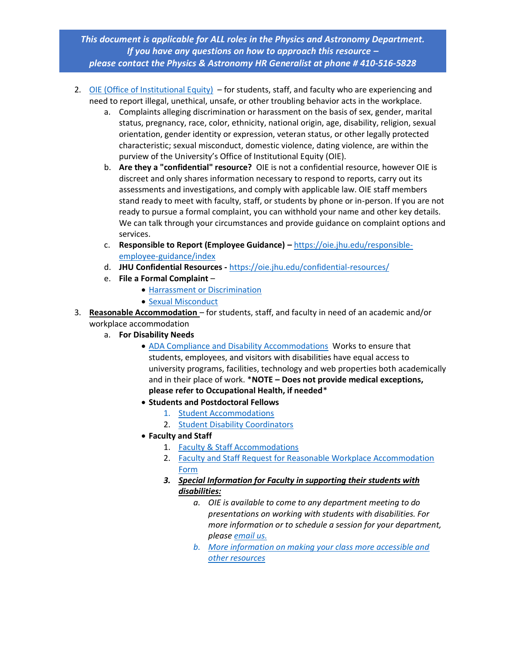*This document is applicable for ALL roles in the Physics and Astronomy Department. If you have any questions on how to approach this resource – please contact the Physics & Astronomy HR Generalist at phone # 410-516-5828*

- 2. [OIE \(Office of Institutional Equity\)](https://oie.jhu.edu/) for students, staff, and faculty who are experiencing and need to report illegal, unethical, unsafe, or other troubling behavior acts in the workplace.
	- a. Complaints alleging discrimination or harassment on the basis of sex, gender, marital status, pregnancy, race, color, ethnicity, national origin, age, disability, religion, sexual orientation, gender identity or expression, veteran status, or other legally protected characteristic; sexual misconduct, domestic violence, dating violence, are within the purview of the University's Office of Institutional Equity (OIE).
	- b. **Are they a "confidential" resource?** OIE is not a confidential resource, however OIE is discreet and only shares information necessary to respond to reports, carry out its assessments and investigations, and comply with applicable law. OIE staff members stand ready to meet with faculty, staff, or students by phone or in-person. If you are not ready to pursue a formal complaint, you can withhold your name and other key details. We can talk through your circumstances and provide guidance on complaint options and services.
	- c. **Responsible to Report (Employee Guidance) –** [https://oie.jhu.edu/responsible](https://oie.jhu.edu/responsible-employee-guidance/index)[employee-guidance/index](https://oie.jhu.edu/responsible-employee-guidance/index)
	- d. **JHU Confidential Resources -** <https://oie.jhu.edu/confidential-resources/>
	- e. **File a Formal Complaint**
		- [Harrassment or Discrimination](https://forms.jh.edu/view.php?id=164822)
		- [Sexual Misconduct](https://forms.jh.edu/view.php?id=158633)
- 3. **Reasonable Accommodation**  for students, staff, and faculty in need of an academic and/or workplace accommodation
	- a. **For Disability Needs**
		- [ADA Compliance and Disability Accommodations](https://oie.jhu.edu/ada-compliance/) Works to ensure that students, employees, and visitors with disabilities have equal access to university programs, facilities, technology and web properties both academically and in their place of work. \***NOTE – Does not provide medical exceptions, please refer to Occupational Health, if needed**\*
		- **Students and Postdoctoral Fellows**
			- 1. [Student Accommodations](https://oie.jhu.edu/ada-compliance/request-accommodations/)
			- 2. [Student Disability Coordinators](https://oie.jhu.edu/ada-compliance/disability-coordinator-list/index.html)
		- **Faculty and Staff**
			- 1. [Faculty & Staff Accommodations](https://accessibility.jhu.edu/accommodations/faculty-staff-accommodations/)
			- 2. Faculty and Staff Request for Reasonable Workplace Accommodation [Form](https://oie.jhu.edu/ada-compliance/faculty-staff-workplace-accommodations/request-form.html)
			- *3. Special Information for Faculty in supporting their students with disabilities:*
				- *a. OIE is available to come to any department meeting to do presentations on working with students with disabilities. For more information or to schedule a session for your department, please [email us.](mailto:oiedisability@jhu.edu)*
				- *b. [More information on making your class more accessible and](http://accessibility.jhu.edu/faculty-resources/)  [other resources](http://accessibility.jhu.edu/faculty-resources/)*